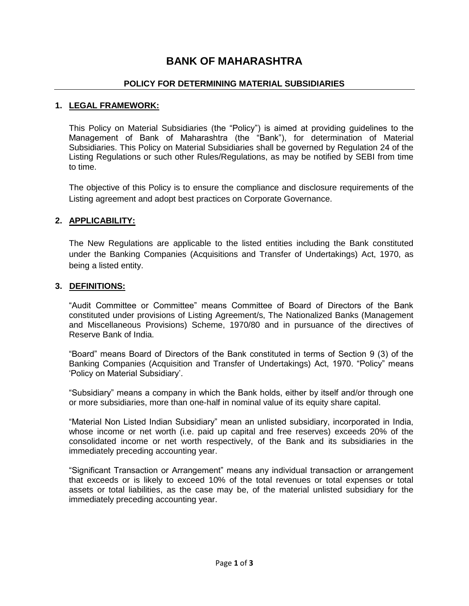# **BANK OF MAHARASHTRA**

#### **POLICY FOR DETERMINING MATERIAL SUBSIDIARIES**

#### **1. LEGAL FRAMEWORK:**

This Policy on Material Subsidiaries (the "Policy") is aimed at providing guidelines to the Management of Bank of Maharashtra (the "Bank"), for determination of Material Subsidiaries. This Policy on Material Subsidiaries shall be governed by Regulation 24 of the Listing Regulations or such other Rules/Regulations, as may be notified by SEBI from time to time.

The objective of this Policy is to ensure the compliance and disclosure requirements of the Listing agreement and adopt best practices on Corporate Governance.

# **2. APPLICABILITY:**

The New Regulations are applicable to the listed entities including the Bank constituted under the Banking Companies (Acquisitions and Transfer of Undertakings) Act, 1970, as being a listed entity.

#### **3. DEFINITIONS:**

"Audit Committee or Committee" means Committee of Board of Directors of the Bank constituted under provisions of Listing Agreement/s, The Nationalized Banks (Management and Miscellaneous Provisions) Scheme, 1970/80 and in pursuance of the directives of Reserve Bank of India.

"Board" means Board of Directors of the Bank constituted in terms of Section 9 (3) of the Banking Companies (Acquisition and Transfer of Undertakings) Act, 1970. "Policy" means "Policy on Material Subsidiary".

"Subsidiary" means a company in which the Bank holds, either by itself and/or through one or more subsidiaries, more than one-half in nominal value of its equity share capital.

"Material Non Listed Indian Subsidiary" mean an unlisted subsidiary, incorporated in India, whose income or net worth (i.e. paid up capital and free reserves) exceeds 20% of the consolidated income or net worth respectively, of the Bank and its subsidiaries in the immediately preceding accounting year.

"Significant Transaction or Arrangement" means any individual transaction or arrangement that exceeds or is likely to exceed 10% of the total revenues or total expenses or total assets or total liabilities, as the case may be, of the material unlisted subsidiary for the immediately preceding accounting year.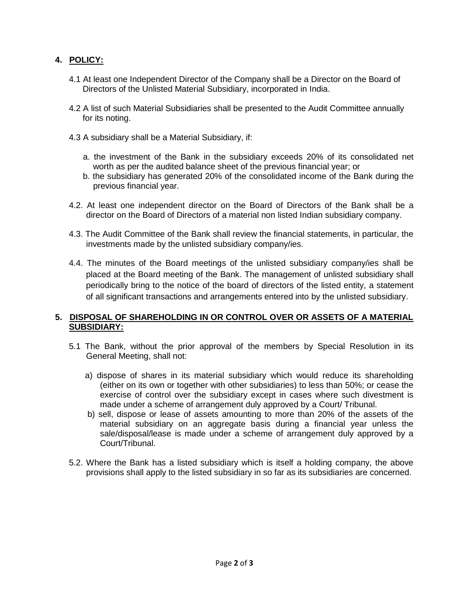# **4. POLICY:**

- 4.1 At least one Independent Director of the Company shall be a Director on the Board of Directors of the Unlisted Material Subsidiary, incorporated in India.
- 4.2 A list of such Material Subsidiaries shall be presented to the Audit Committee annually for its noting.
- 4.3 A subsidiary shall be a Material Subsidiary, if:
	- a. the investment of the Bank in the subsidiary exceeds 20% of its consolidated net worth as per the audited balance sheet of the previous financial year; or
	- b. the subsidiary has generated 20% of the consolidated income of the Bank during the previous financial year.
- 4.2. At least one independent director on the Board of Directors of the Bank shall be a director on the Board of Directors of a material non listed Indian subsidiary company.
- 4.3. The Audit Committee of the Bank shall review the financial statements, in particular, the investments made by the unlisted subsidiary company/ies.
- 4.4. The minutes of the Board meetings of the unlisted subsidiary company/ies shall be placed at the Board meeting of the Bank. The management of unlisted subsidiary shall periodically bring to the notice of the board of directors of the listed entity, a statement of all significant transactions and arrangements entered into by the unlisted subsidiary.

# **5. DISPOSAL OF SHAREHOLDING IN OR CONTROL OVER OR ASSETS OF A MATERIAL SUBSIDIARY:**

- 5.1 The Bank, without the prior approval of the members by Special Resolution in its General Meeting, shall not:
	- a) dispose of shares in its material subsidiary which would reduce its shareholding (either on its own or together with other subsidiaries) to less than 50%; or cease the exercise of control over the subsidiary except in cases where such divestment is made under a scheme of arrangement duly approved by a Court/ Tribunal.
	- b) sell, dispose or lease of assets amounting to more than 20% of the assets of the material subsidiary on an aggregate basis during a financial year unless the sale/disposal/lease is made under a scheme of arrangement duly approved by a Court/Tribunal.
- 5.2. Where the Bank has a listed subsidiary which is itself a holding company, the above provisions shall apply to the listed subsidiary in so far as its subsidiaries are concerned.